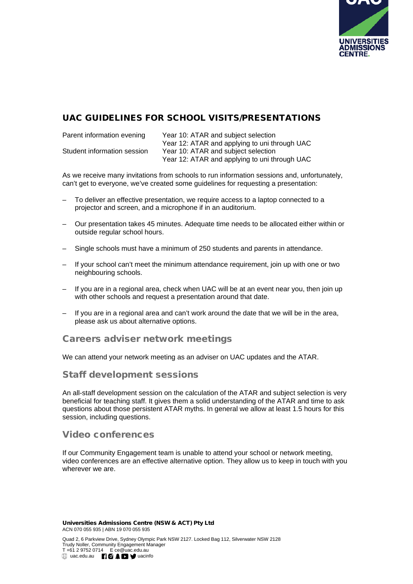

## UAC GUIDELINES FOR SCHOOL VISITS/PRESENTATIONS

| Parent information evening  | Year 10: ATAR and subject selection           |
|-----------------------------|-----------------------------------------------|
|                             | Year 12: ATAR and applying to uni through UAC |
| Student information session | Year 10: ATAR and subject selection           |
|                             | Year 12: ATAR and applying to uni through UAC |

As we receive many invitations from schools to run information sessions and, unfortunately, can't get to everyone, we've created some guidelines for requesting a presentation:

- To deliver an effective presentation, we require access to a laptop connected to a projector and screen, and a microphone if in an auditorium.
- Our presentation takes 45 minutes. Adequate time needs to be allocated either within or outside regular school hours.
- Single schools must have a minimum of 250 students and parents in attendance.
- If your school can't meet the minimum attendance requirement, join up with one or two neighbouring schools.
- If you are in a regional area, check when UAC will be at an event near you, then join up with other schools and request a presentation around that date.
- If you are in a regional area and can't work around the date that we will be in the area, please ask us about alternative options.

### Careers adviser network meetings

We can attend your network meeting as an adviser on UAC updates and the ATAR.

### Staff development sessions

An all-staff development session on the calculation of the ATAR and subject selection is very beneficial for teaching staff. It gives them a solid understanding of the ATAR and time to ask questions about those persistent ATAR myths. In general we allow at least 1.5 hours for this session, including questions.

### Video conferences

If our Community Engagement team is unable to attend your school or network meeting, video conferences are an effective alternative option. They allow us to keep in touch with you wherever we are.

Universities Admissions Centre (NSW & ACT) Pty Ltd ACN 070 055 935 | ABN 19 070 055 935

Quad 2, 6 Parkview Drive, Sydney Olympic Park NSW 2127. Locked Bag 112, Silverwater NSW 2128 Trudy Noller, Community Engagement Manager T +61 2 9752 0714 E ce@uac.edu.au uac.edu.au **[10 £ D y** uacinfo